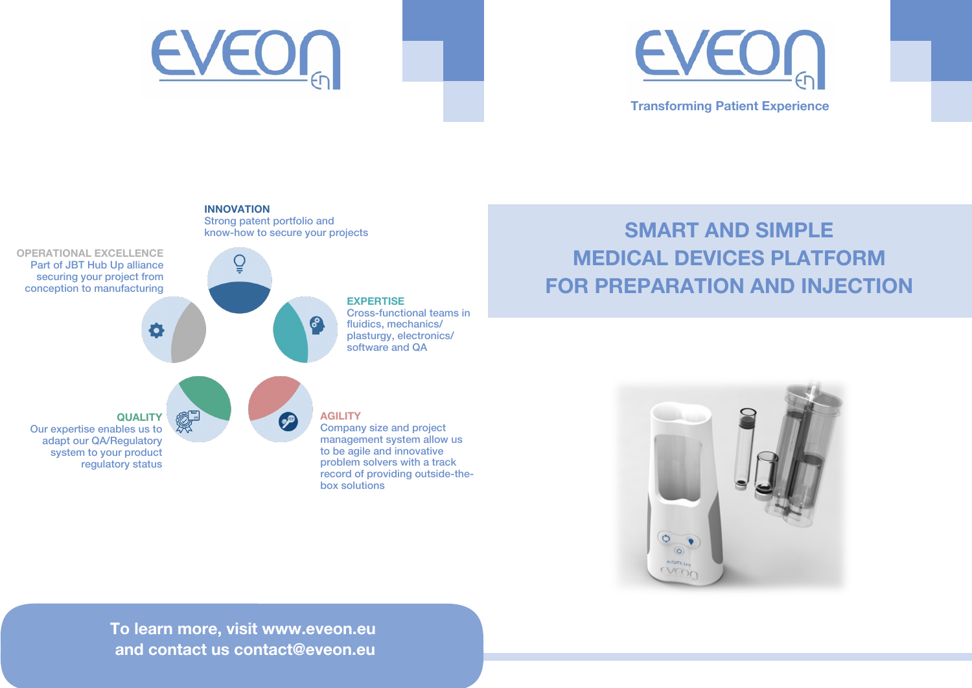



### **Transforming Patient Experience**

 $\overline{6}$ **INTUITY L** cven



**To learn more, visit www.eveon.eu and contact us contact@eveon.eu**